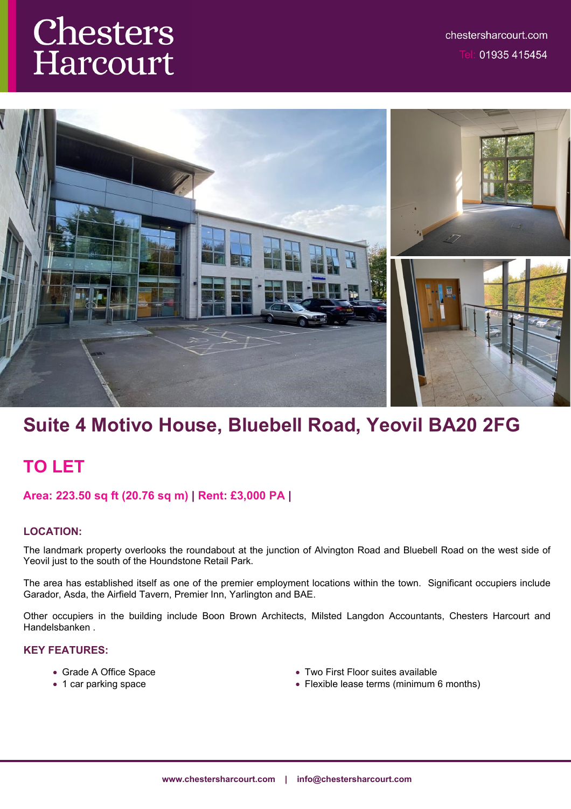# Chesters Harcourt



# **Suite 4 Motivo House, Bluebell Road, Yeovil BA20 2FG**

## **TO LET**

## **Area: 223.50 sq ft (20.76 sq m) | Rent: £3,000 PA |**

## **LOCATION:**

The landmark property overlooks the roundabout at the junction of Alvington Road and Bluebell Road on the west side of Yeovil just to the south of the Houndstone Retail Park.

The area has established itself as one of the premier employment locations within the town. Significant occupiers include Garador, Asda, the Airfield Tavern, Premier Inn, Yarlington and BAE.

Other occupiers in the building include Boon Brown Architects, Milsted Langdon Accountants, Chesters Harcourt and Handelsbanken .

### **KEY FEATURES:**

- Grade A Office Space
- 1 car parking space
- Two First Floor suites available
- Flexible lease terms (minimum 6 months)